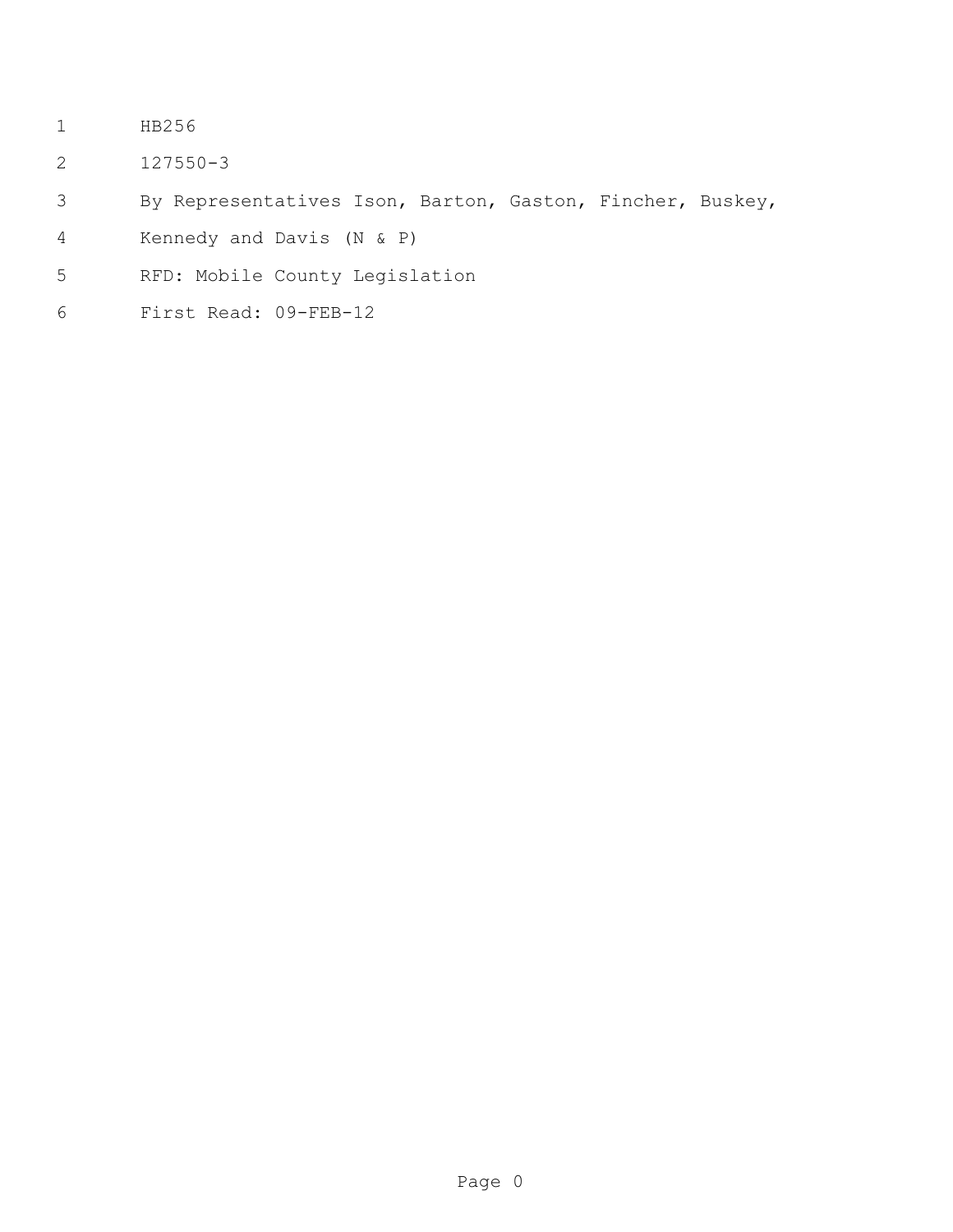- HB256
- 127550-3
- By Representatives Ison, Barton, Gaston, Fincher, Buskey,
- Kennedy and Davis (N & P)
- RFD: Mobile County Legislation
- First Read: 09-FEB-12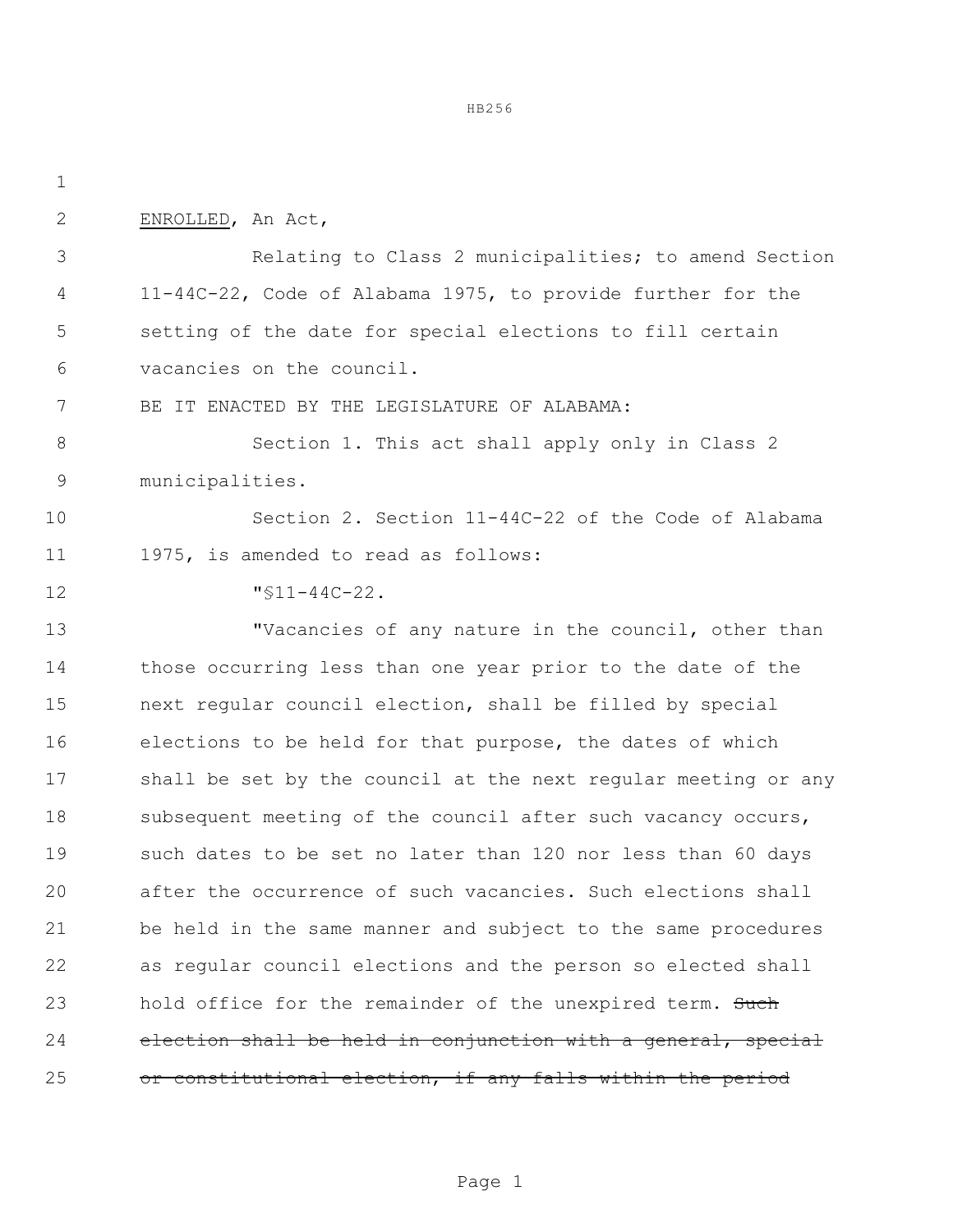HB256

| $\mathbf 1$  |                                                                |
|--------------|----------------------------------------------------------------|
| $\mathbf{2}$ | ENROLLED, An Act,                                              |
| 3            | Relating to Class 2 municipalities; to amend Section           |
| 4            | 11-44C-22, Code of Alabama 1975, to provide further for the    |
| 5            | setting of the date for special elections to fill certain      |
| 6            | vacancies on the council.                                      |
| 7            | BE IT ENACTED BY THE LEGISLATURE OF ALABAMA:                   |
| $8\,$        | Section 1. This act shall apply only in Class 2                |
| 9            | municipalities.                                                |
| 10           | Section 2. Section 11-44C-22 of the Code of Alabama            |
| 11           | 1975, is amended to read as follows:                           |
| 12           | $"$ \$11-44C-22.                                               |
| 13           | "Vacancies of any nature in the council, other than            |
| 14           | those occurring less than one year prior to the date of the    |
| 15           | next regular council election, shall be filled by special      |
| 16           | elections to be held for that purpose, the dates of which      |
| 17           | shall be set by the council at the next regular meeting or any |
| 18           | subsequent meeting of the council after such vacancy occurs,   |
| 19           | such dates to be set no later than 120 nor less than 60 days   |
| 20           | after the occurrence of such vacancies. Such elections shall   |
| 21           | be held in the same manner and subject to the same procedures  |
| 22           | as regular council elections and the person so elected shall   |
| 23           | hold office for the remainder of the unexpired term. Such      |
| 24           | election shall be held in conjunction with a general, special  |
| 25           | or constitutional election, if any falls within the period     |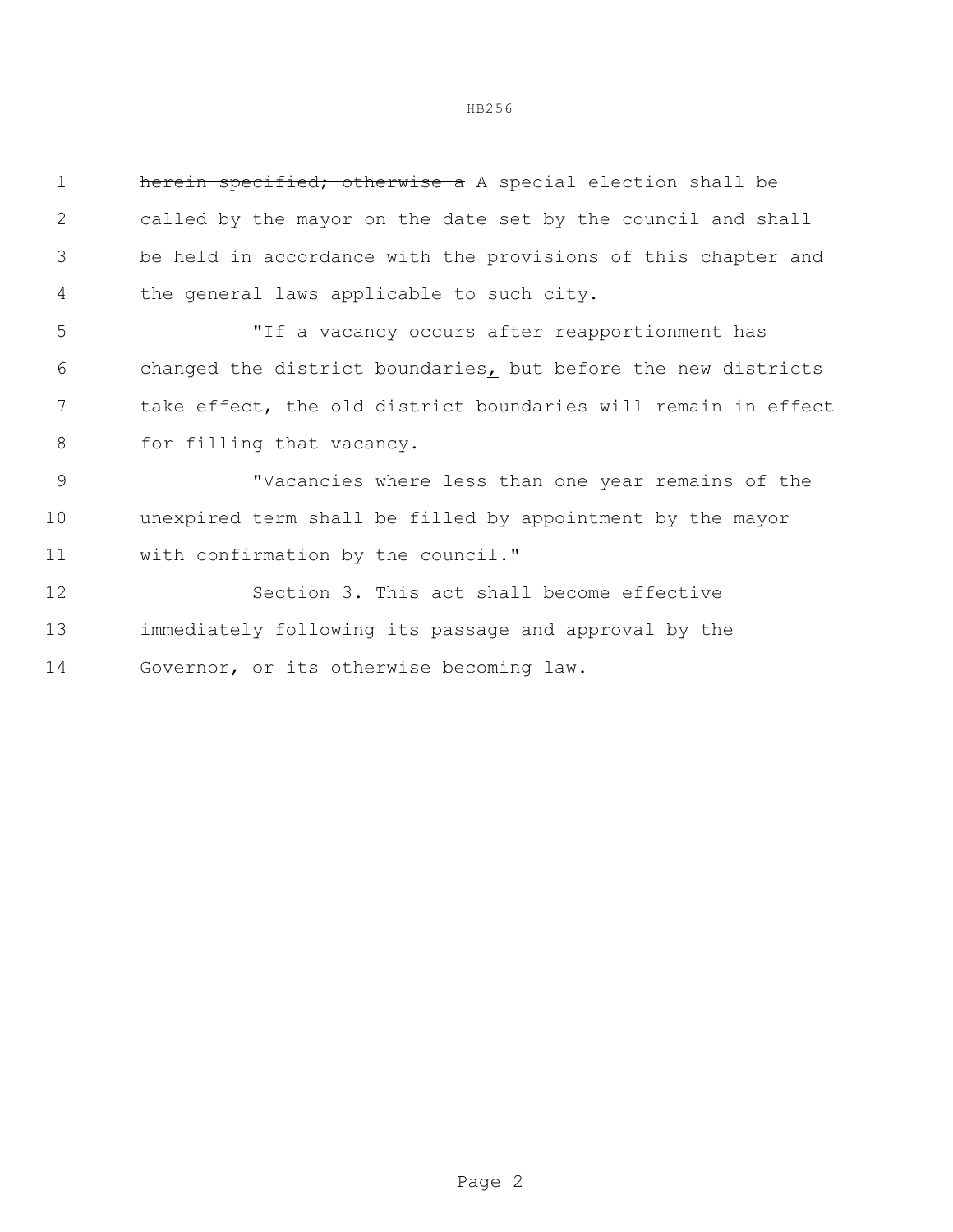HB256

| $\mathbf 1$ | herein specified; otherwise a A special election shall be      |
|-------------|----------------------------------------------------------------|
| 2           | called by the mayor on the date set by the council and shall   |
| 3           | be held in accordance with the provisions of this chapter and  |
| 4           | the general laws applicable to such city.                      |
| 5           | "If a vacancy occurs after reapportionment has                 |
| 6           | changed the district boundaries, but before the new districts  |
| 7           | take effect, the old district boundaries will remain in effect |
| 8           | for filling that vacancy.                                      |
| 9           | "Vacancies where less than one year remains of the             |
| 10          | unexpired term shall be filled by appointment by the mayor     |
| 11          | with confirmation by the council."                             |
| 12          | Section 3. This act shall become effective                     |
| 13          | immediately following its passage and approval by the          |
| 14          | Governor, or its otherwise becoming law.                       |
|             |                                                                |